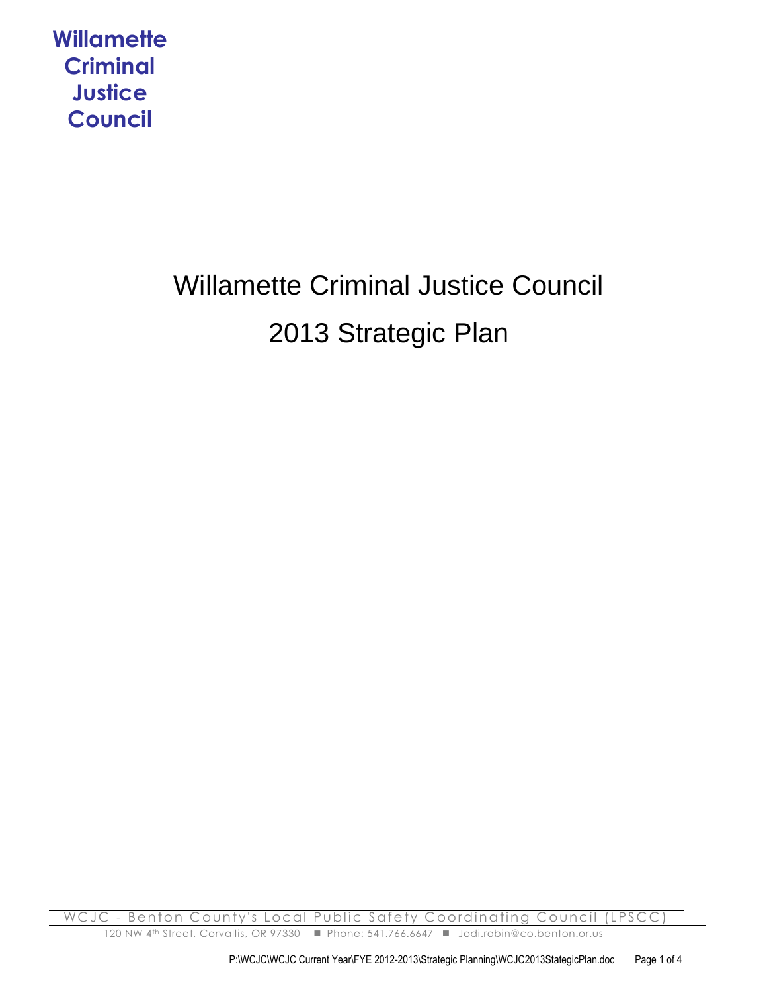

# Willamette Criminal Justice Council 2013 Strategic Plan

WCJC - Benton County's Local Public Safety Coordinating Council (LPSCC 120 NW 4<sup>th</sup> Street, Corvallis, OR 97330 ■ Phone: 541.766.6647 ■ Jodi.robin@co.benton.or.us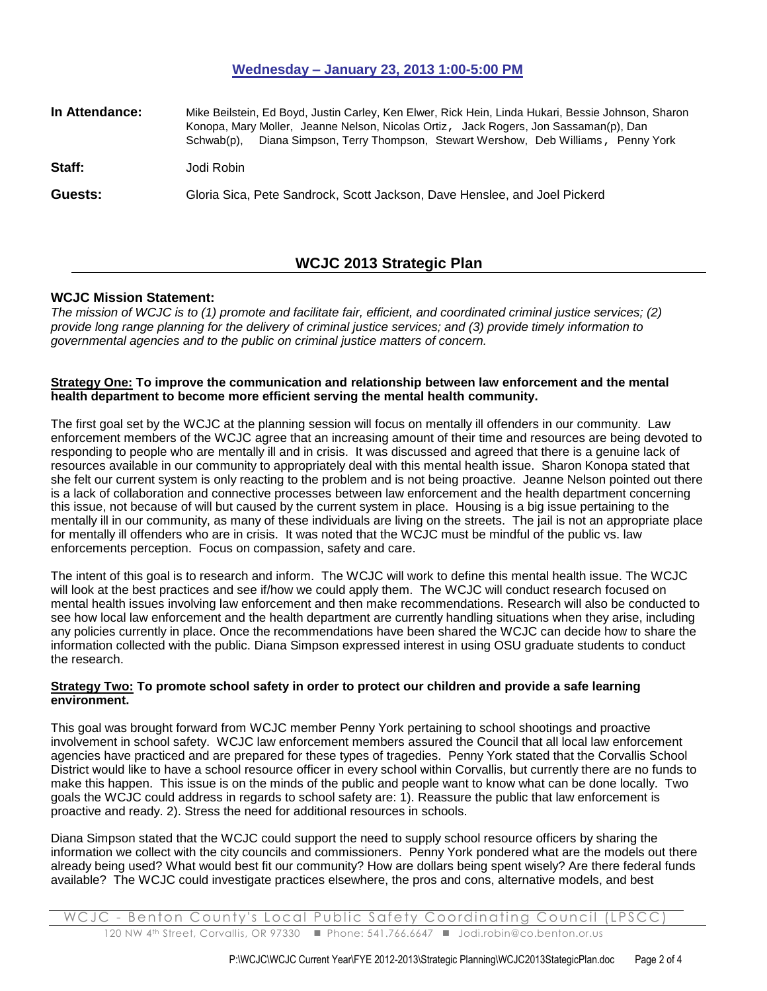## **Wednesday – January 23, 2013 1:00-5:00 PM**

| In Attendance: | Mike Beilstein, Ed Boyd, Justin Carley, Ken Elwer, Rick Hein, Linda Hukari, Bessie Johnson, Sharon<br>Konopa, Mary Moller, Jeanne Nelson, Nicolas Ortiz, Jack Rogers, Jon Sassaman(p), Dan<br>Diana Simpson, Terry Thompson, Stewart Wershow, Deb Williams, Penny York<br>Schwab(p). |
|----------------|--------------------------------------------------------------------------------------------------------------------------------------------------------------------------------------------------------------------------------------------------------------------------------------|
| Staff:         | Jodi Robin                                                                                                                                                                                                                                                                           |
| Guests:        | Gloria Sica, Pete Sandrock, Scott Jackson, Dave Henslee, and Joel Pickerd                                                                                                                                                                                                            |

# **WCJC 2013 Strategic Plan**

#### **WCJC Mission Statement:**

*The mission of WCJC is to (1) promote and facilitate fair, efficient, and coordinated criminal justice services; (2) provide long range planning for the delivery of criminal justice services; and (3) provide timely information to governmental agencies and to the public on criminal justice matters of concern.*

#### **Strategy One: To improve the communication and relationship between law enforcement and the mental health department to become more efficient serving the mental health community.**

The first goal set by the WCJC at the planning session will focus on mentally ill offenders in our community. Law enforcement members of the WCJC agree that an increasing amount of their time and resources are being devoted to responding to people who are mentally ill and in crisis. It was discussed and agreed that there is a genuine lack of resources available in our community to appropriately deal with this mental health issue. Sharon Konopa stated that she felt our current system is only reacting to the problem and is not being proactive. Jeanne Nelson pointed out there is a lack of collaboration and connective processes between law enforcement and the health department concerning this issue, not because of will but caused by the current system in place. Housing is a big issue pertaining to the mentally ill in our community, as many of these individuals are living on the streets. The jail is not an appropriate place for mentally ill offenders who are in crisis. It was noted that the WCJC must be mindful of the public vs. law enforcements perception. Focus on compassion, safety and care.

The intent of this goal is to research and inform. The WCJC will work to define this mental health issue. The WCJC will look at the best practices and see if/how we could apply them. The WCJC will conduct research focused on mental health issues involving law enforcement and then make recommendations. Research will also be conducted to see how local law enforcement and the health department are currently handling situations when they arise, including any policies currently in place. Once the recommendations have been shared the WCJC can decide how to share the information collected with the public. Diana Simpson expressed interest in using OSU graduate students to conduct the research.

#### **Strategy Two: To promote school safety in order to protect our children and provide a safe learning environment.**

This goal was brought forward from WCJC member Penny York pertaining to school shootings and proactive involvement in school safety. WCJC law enforcement members assured the Council that all local law enforcement agencies have practiced and are prepared for these types of tragedies. Penny York stated that the Corvallis School District would like to have a school resource officer in every school within Corvallis, but currently there are no funds to make this happen. This issue is on the minds of the public and people want to know what can be done locally. Two goals the WCJC could address in regards to school safety are: 1). Reassure the public that law enforcement is proactive and ready. 2). Stress the need for additional resources in schools.

Diana Simpson stated that the WCJC could support the need to supply school resource officers by sharing the information we collect with the city councils and commissioners. Penny York pondered what are the models out there already being used? What would best fit our community? How are dollars being spent wisely? Are there federal funds available? The WCJC could investigate practices elsewhere, the pros and cons, alternative models, and best

WCJC - Benton County's Local Public Safety Coordinating Council (LPSCC 120 NW 4<sup>th</sup> Street, Corvallis, OR 97330 ■ Phone: 541.766.6647 ■ Jodi.robin@co.benton.or.us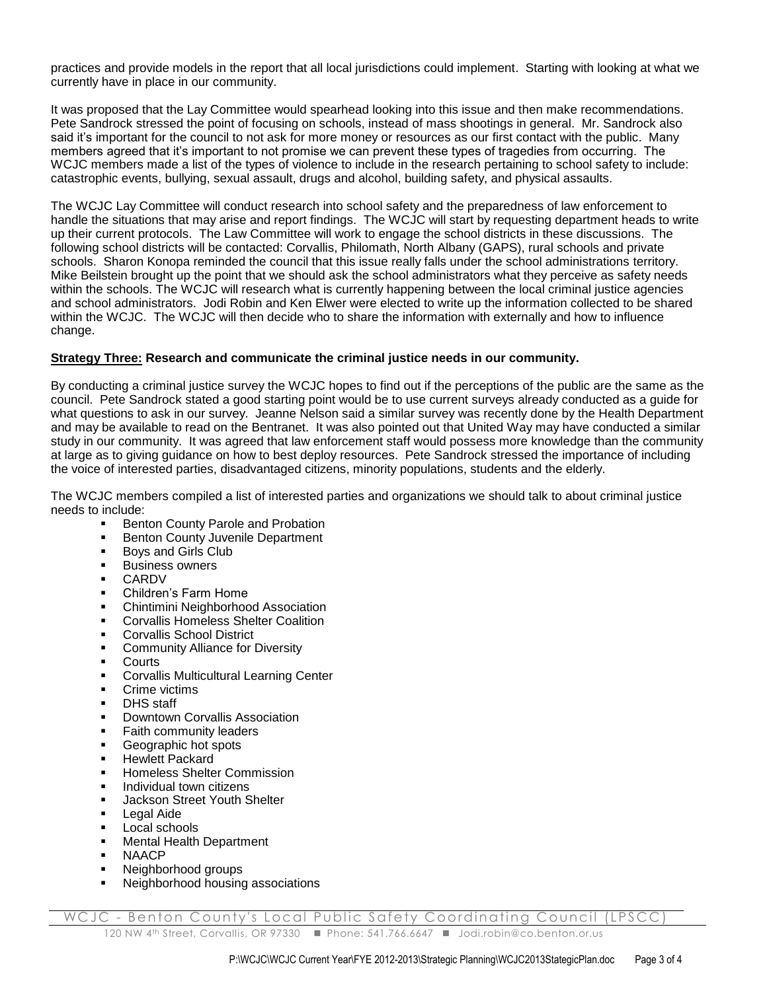practices and provide models in the report that all local jurisdictions could implement. Starting with looking at what we currently have in place in our community.

It was proposed that the Lay Committee would spearhead looking into this issue and then make recommendations. Pete Sandrock stressed the point of focusing on schools, instead of mass shootings in general. Mr. Sandrock also said it's important for the council to not ask for more money or resources as our first contact with the public. Many members agreed that it's important to not promise we can prevent these types of tragedies from occurring. The WCJC members made a list of the types of violence to include in the research pertaining to school safety to include: catastrophic events, bullying, sexual assault, drugs and alcohol, building safety, and physical assaults.

The WCJC Lay Committee will conduct research into school safety and the preparedness of law enforcement to handle the situations that may arise and report findings. The WCJC will start by requesting department heads to write up their current protocols. The Law Committee will work to engage the school districts in these discussions. The following school districts will be contacted: Corvallis, Philomath, North Albany (GAPS), rural schools and private schools. Sharon Konopa reminded the council that this issue really falls under the school administrations territory. Mike Beilstein brought up the point that we should ask the school administrators what they perceive as safety needs within the schools. The WCJC will research what is currently happening between the local criminal justice agencies and school administrators. Jodi Robin and Ken Elwer were elected to write up the information collected to be shared within the WCJC. The WCJC will then decide who to share the information with externally and how to influence change.

# **Strategy Three: Research and communicate the criminal justice needs in our community.**

By conducting a criminal justice survey the WCJC hopes to find out if the perceptions of the public are the same as the council. Pete Sandrock stated a good starting point would be to use current surveys already conducted as a guide for what questions to ask in our survey. Jeanne Nelson said a similar survey was recently done by the Health Department and may be available to read on the Bentranet. It was also pointed out that United Way may have conducted a similar study in our community. It was agreed that law enforcement staff would possess more knowledge than the community at large as to giving guidance on how to best deploy resources. Pete Sandrock stressed the importance of including the voice of interested parties, disadvantaged citizens, minority populations, students and the elderly.

The WCJC members compiled a list of interested parties and organizations we should talk to about criminal justice needs to include:

- Benton County Parole and Probation
- **Benton County Juvenile Department**
- **Boys and Girls Club**
- Business owners
- CARDV
- Children's Farm Home
- Chintimini Neighborhood Association
- Corvallis Homeless Shelter Coalition
- Corvallis School District
- Community Alliance for Diversity
- Courts
- **EXECORVALLES** Multicultural Learning Center
- Crime victims
- DHS staff
- Downtown Corvallis Association
- Faith community leaders
- Geographic hot spots
- Hewlett Packard
- Homeless Shelter Commission
- Individual town citizens
- Jackson Street Youth Shelter
- **Legal Aide**
- **Local schools**
- **Mental Health Department**
- **NAACP**
- Neighborhood groups
- Neighborhood housing associations

WCJC - Benton County's Local Public Safety Coordinating Council (LPSCC 120 NW 4<sup>th</sup> Street, Corvallis, OR 97330 ■ Phone: 541.766.6647 ■ Jodi.robin@co.benton.or.us